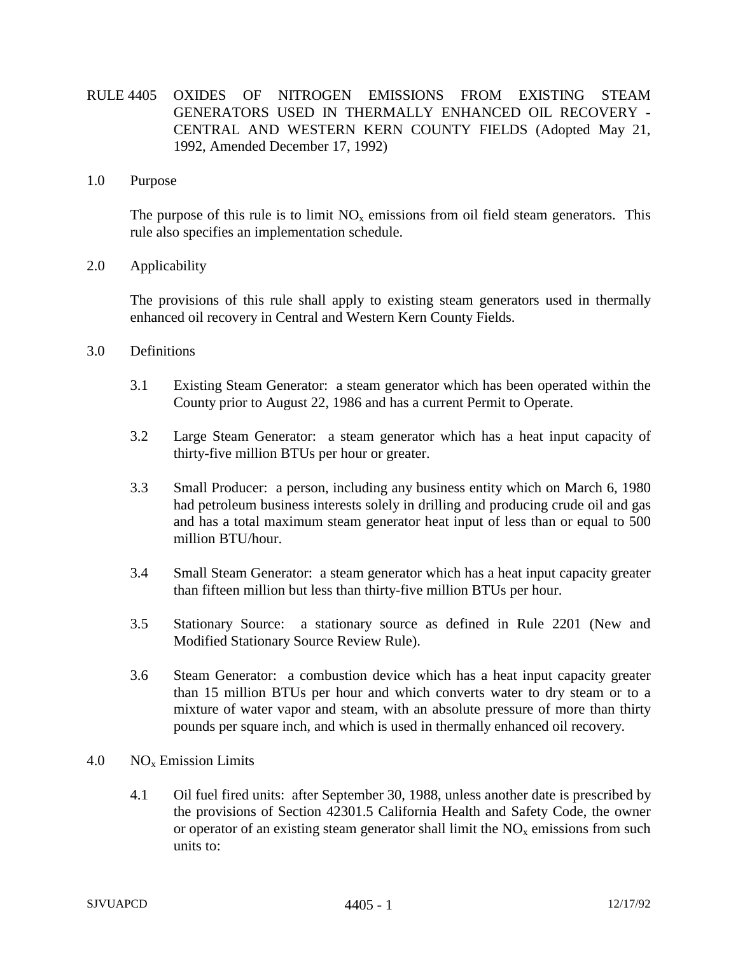- RULE 4405 OXIDES OF NITROGEN EMISSIONS FROM EXISTING STEAM GENERATORS USED IN THERMALLY ENHANCED OIL RECOVERY - CENTRAL AND WESTERN KERN COUNTY FIELDS (Adopted May 21, 1992, Amended December 17, 1992)
- 1.0 Purpose

The purpose of this rule is to limit  $NO<sub>x</sub>$  emissions from oil field steam generators. This rule also specifies an implementation schedule.

2.0 Applicability

The provisions of this rule shall apply to existing steam generators used in thermally enhanced oil recovery in Central and Western Kern County Fields.

- 3.0 Definitions
	- 3.1 Existing Steam Generator: a steam generator which has been operated within the County prior to August 22, 1986 and has a current Permit to Operate.
	- 3.2 Large Steam Generator: a steam generator which has a heat input capacity of thirty-five million BTUs per hour or greater.
	- 3.3 Small Producer: a person, including any business entity which on March 6, 1980 had petroleum business interests solely in drilling and producing crude oil and gas and has a total maximum steam generator heat input of less than or equal to 500 million BTU/hour.
	- 3.4 Small Steam Generator: a steam generator which has a heat input capacity greater than fifteen million but less than thirty-five million BTUs per hour.
	- 3.5 Stationary Source: a stationary source as defined in Rule 2201 (New and Modified Stationary Source Review Rule).
	- 3.6 Steam Generator: a combustion device which has a heat input capacity greater than 15 million BTUs per hour and which converts water to dry steam or to a mixture of water vapor and steam, with an absolute pressure of more than thirty pounds per square inch, and which is used in thermally enhanced oil recovery.
- 4.0  $NO<sub>x</sub>$  Emission Limits
	- 4.1 Oil fuel fired units: after September 30, 1988, unless another date is prescribed by the provisions of Section 42301.5 California Health and Safety Code, the owner or operator of an existing steam generator shall limit the  $NO<sub>x</sub>$  emissions from such units to: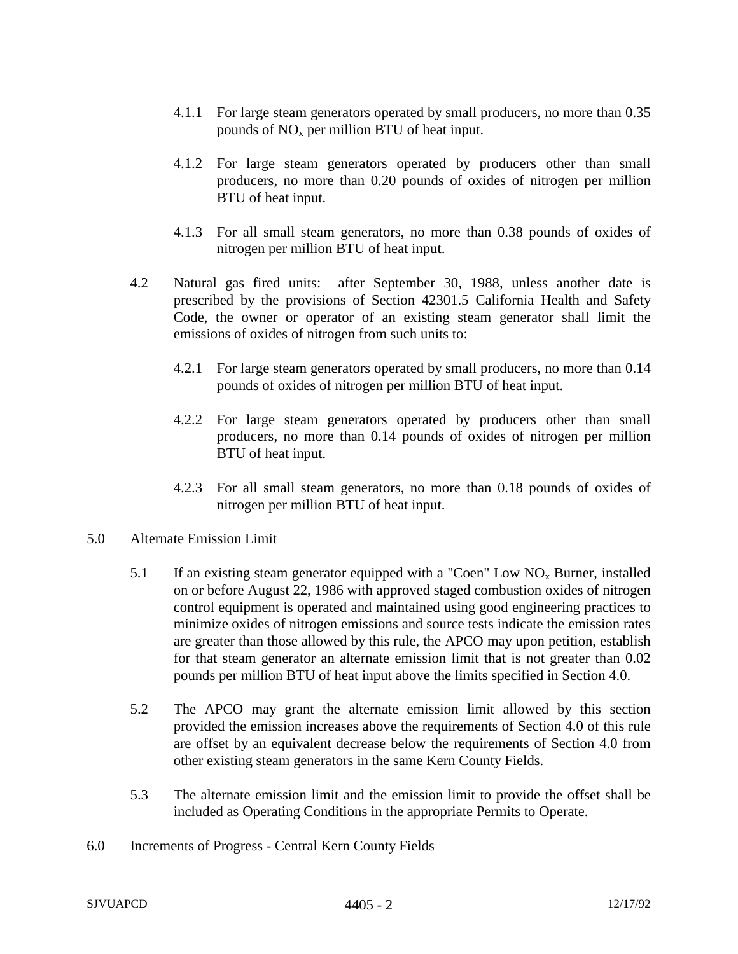- 4.1.1 For large steam generators operated by small producers, no more than 0.35 pounds of  $NO<sub>x</sub>$  per million BTU of heat input.
- 4.1.2 For large steam generators operated by producers other than small producers, no more than 0.20 pounds of oxides of nitrogen per million BTU of heat input.
- 4.1.3 For all small steam generators, no more than 0.38 pounds of oxides of nitrogen per million BTU of heat input.
- 4.2 Natural gas fired units: after September 30, 1988, unless another date is prescribed by the provisions of Section 42301.5 California Health and Safety Code, the owner or operator of an existing steam generator shall limit the emissions of oxides of nitrogen from such units to:
	- 4.2.1 For large steam generators operated by small producers, no more than 0.14 pounds of oxides of nitrogen per million BTU of heat input.
	- 4.2.2 For large steam generators operated by producers other than small producers, no more than 0.14 pounds of oxides of nitrogen per million BTU of heat input.
	- 4.2.3 For all small steam generators, no more than 0.18 pounds of oxides of nitrogen per million BTU of heat input.
- 5.0 Alternate Emission Limit
	- 5.1 If an existing steam generator equipped with a "Coen" Low  $NO<sub>x</sub>$  Burner, installed on or before August 22, 1986 with approved staged combustion oxides of nitrogen control equipment is operated and maintained using good engineering practices to minimize oxides of nitrogen emissions and source tests indicate the emission rates are greater than those allowed by this rule, the APCO may upon petition, establish for that steam generator an alternate emission limit that is not greater than 0.02 pounds per million BTU of heat input above the limits specified in Section 4.0.
	- 5.2 The APCO may grant the alternate emission limit allowed by this section provided the emission increases above the requirements of Section 4.0 of this rule are offset by an equivalent decrease below the requirements of Section 4.0 from other existing steam generators in the same Kern County Fields.
	- 5.3 The alternate emission limit and the emission limit to provide the offset shall be included as Operating Conditions in the appropriate Permits to Operate.
- 6.0 Increments of Progress Central Kern County Fields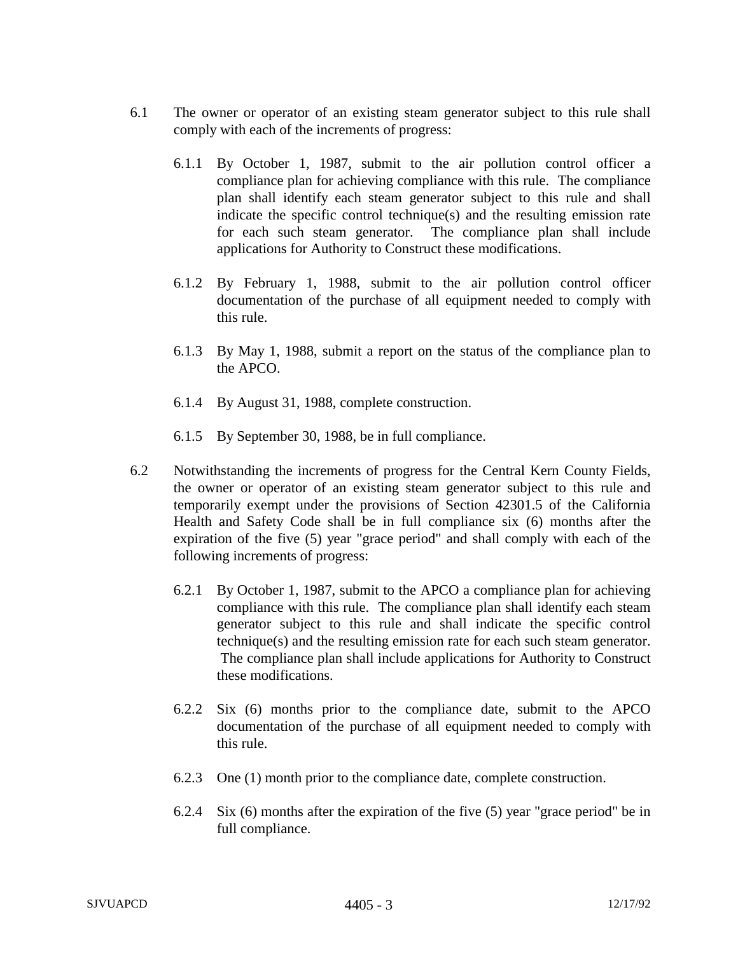- 6.1 The owner or operator of an existing steam generator subject to this rule shall comply with each of the increments of progress:
	- 6.1.1 By October 1, 1987, submit to the air pollution control officer a compliance plan for achieving compliance with this rule. The compliance plan shall identify each steam generator subject to this rule and shall indicate the specific control technique(s) and the resulting emission rate for each such steam generator. The compliance plan shall include applications for Authority to Construct these modifications.
	- 6.1.2 By February 1, 1988, submit to the air pollution control officer documentation of the purchase of all equipment needed to comply with this rule.
	- 6.1.3 By May 1, 1988, submit a report on the status of the compliance plan to the APCO.
	- 6.1.4 By August 31, 1988, complete construction.
	- 6.1.5 By September 30, 1988, be in full compliance.
- 6.2 Notwithstanding the increments of progress for the Central Kern County Fields, the owner or operator of an existing steam generator subject to this rule and temporarily exempt under the provisions of Section 42301.5 of the California Health and Safety Code shall be in full compliance six (6) months after the expiration of the five (5) year "grace period" and shall comply with each of the following increments of progress:
	- 6.2.1 By October 1, 1987, submit to the APCO a compliance plan for achieving compliance with this rule. The compliance plan shall identify each steam generator subject to this rule and shall indicate the specific control technique(s) and the resulting emission rate for each such steam generator. The compliance plan shall include applications for Authority to Construct these modifications.
	- 6.2.2 Six (6) months prior to the compliance date, submit to the APCO documentation of the purchase of all equipment needed to comply with this rule.
	- 6.2.3 One (1) month prior to the compliance date, complete construction.
	- 6.2.4 Six (6) months after the expiration of the five (5) year "grace period" be in full compliance.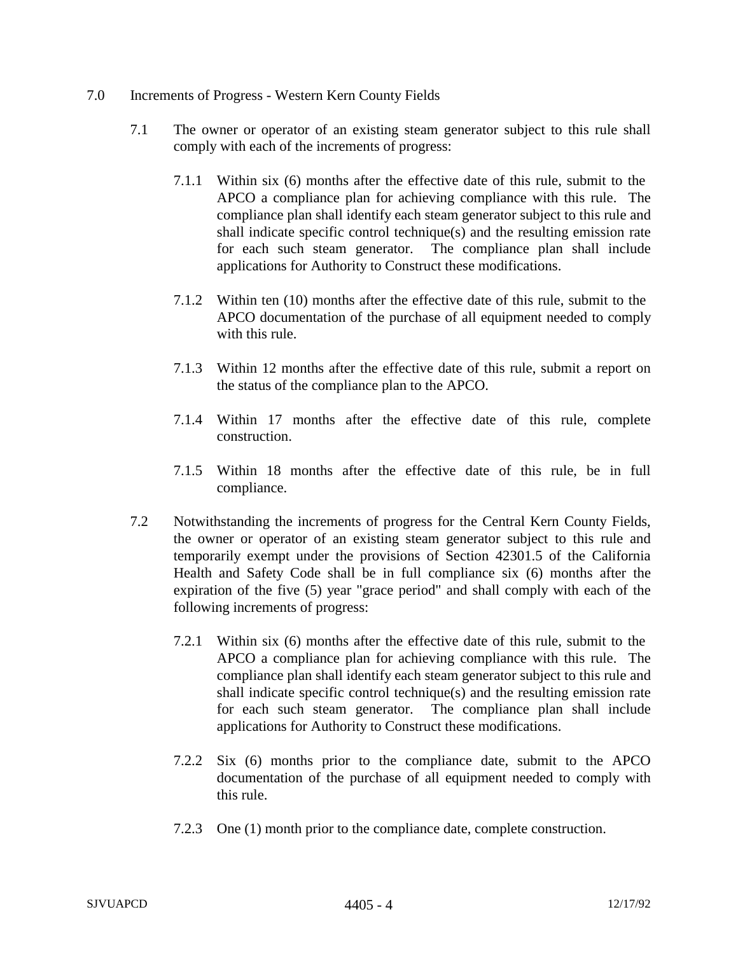## 7.0 Increments of Progress - Western Kern County Fields

- 7.1 The owner or operator of an existing steam generator subject to this rule shall comply with each of the increments of progress:
	- 7.1.1 Within six (6) months after the effective date of this rule, submit to the APCO a compliance plan for achieving compliance with this rule. The compliance plan shall identify each steam generator subject to this rule and shall indicate specific control technique(s) and the resulting emission rate for each such steam generator. The compliance plan shall include applications for Authority to Construct these modifications.
	- 7.1.2 Within ten (10) months after the effective date of this rule, submit to the APCO documentation of the purchase of all equipment needed to comply with this rule.
	- 7.1.3 Within 12 months after the effective date of this rule, submit a report on the status of the compliance plan to the APCO.
	- 7.1.4 Within 17 months after the effective date of this rule, complete construction.
	- 7.1.5 Within 18 months after the effective date of this rule, be in full compliance.
- 7.2 Notwithstanding the increments of progress for the Central Kern County Fields, the owner or operator of an existing steam generator subject to this rule and temporarily exempt under the provisions of Section 42301.5 of the California Health and Safety Code shall be in full compliance six (6) months after the expiration of the five (5) year "grace period" and shall comply with each of the following increments of progress:
	- 7.2.1 Within six (6) months after the effective date of this rule, submit to the APCO a compliance plan for achieving compliance with this rule. The compliance plan shall identify each steam generator subject to this rule and shall indicate specific control technique(s) and the resulting emission rate for each such steam generator. The compliance plan shall include applications for Authority to Construct these modifications.
	- 7.2.2 Six (6) months prior to the compliance date, submit to the APCO documentation of the purchase of all equipment needed to comply with this rule.
	- 7.2.3 One (1) month prior to the compliance date, complete construction.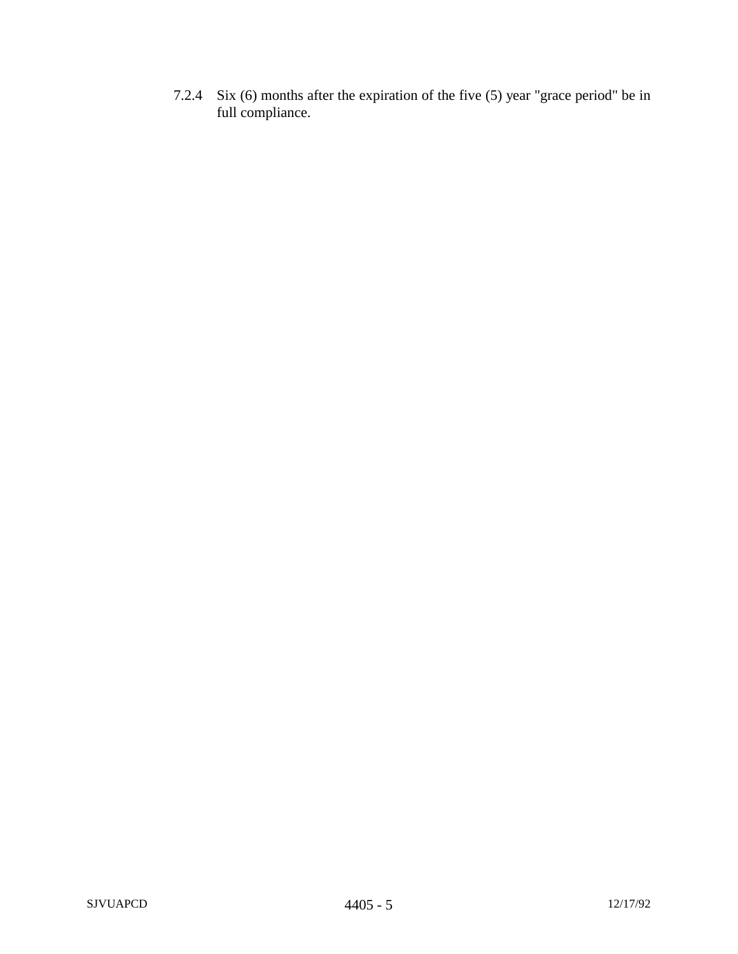7.2.4 Six (6) months after the expiration of the five (5) year "grace period" be in full compliance.